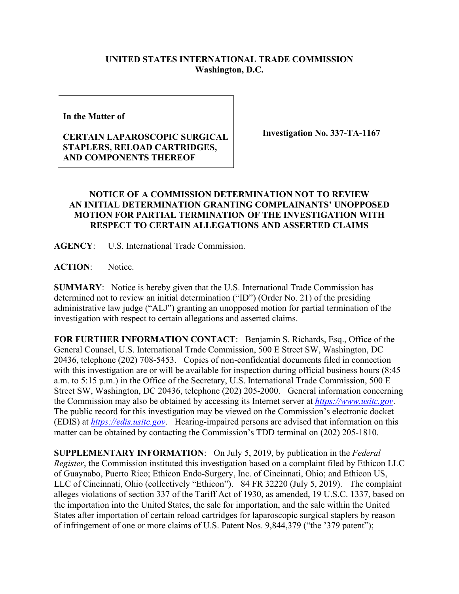## **UNITED STATES INTERNATIONAL TRADE COMMISSION Washington, D.C.**

**In the Matter of** 

## **CERTAIN LAPAROSCOPIC SURGICAL STAPLERS, RELOAD CARTRIDGES, AND COMPONENTS THEREOF**

**Investigation No. 337-TA-1167**

## **NOTICE OF A COMMISSION DETERMINATION NOT TO REVIEW AN INITIAL DETERMINATION GRANTING COMPLAINANTS' UNOPPOSED MOTION FOR PARTIAL TERMINATION OF THE INVESTIGATION WITH RESPECT TO CERTAIN ALLEGATIONS AND ASSERTED CLAIMS**

**AGENCY**: U.S. International Trade Commission.

ACTION: Notice.

**SUMMARY**: Notice is hereby given that the U.S. International Trade Commission has determined not to review an initial determination ("ID") (Order No. 21) of the presiding administrative law judge ("ALJ") granting an unopposed motion for partial termination of the investigation with respect to certain allegations and asserted claims.

**FOR FURTHER INFORMATION CONTACT**: Benjamin S. Richards, Esq., Office of the General Counsel, U.S. International Trade Commission, 500 E Street SW, Washington, DC 20436, telephone (202) 708-5453. Copies of non-confidential documents filed in connection with this investigation are or will be available for inspection during official business hours (8:45 a.m. to 5:15 p.m.) in the Office of the Secretary, U.S. International Trade Commission, 500 E Street SW, Washington, DC 20436, telephone (202) 205-2000. General information concerning the Commission may also be obtained by accessing its Internet server at *[https://www.usitc.gov](https://www.usitc.gov/)*. The public record for this investigation may be viewed on the Commission's electronic docket (EDIS) at *[https://edis.usitc.gov](https://edis.usitc.gov/)*. Hearing-impaired persons are advised that information on this matter can be obtained by contacting the Commission's TDD terminal on (202) 205-1810.

**SUPPLEMENTARY INFORMATION**: On July 5, 2019, by publication in the *Federal Register*, the Commission instituted this investigation based on a complaint filed by Ethicon LLC of Guaynabo, Puerto Rico; Ethicon Endo-Surgery, Inc. of Cincinnati, Ohio; and Ethicon US, LLC of Cincinnati, Ohio (collectively "Ethicon"). 84 FR 32220 (July 5, 2019). The complaint alleges violations of section 337 of the Tariff Act of 1930, as amended, 19 U.S.C. 1337, based on the importation into the United States, the sale for importation, and the sale within the United States after importation of certain reload cartridges for laparoscopic surgical staplers by reason of infringement of one or more claims of U.S. Patent Nos. 9,844,379 ("the '379 patent");